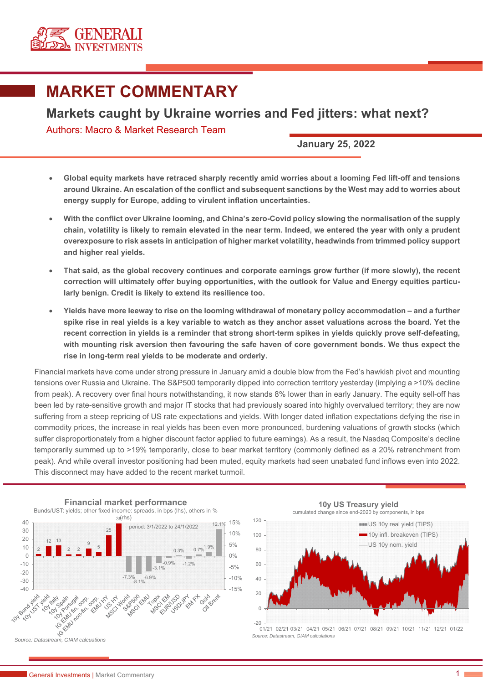

## **MARKET COMMENTARY**

## **Markets caught by Ukraine worries and Fed jitters: what next?**

Authors: Macro & Market Research Team

**January 25, 2022** 

- **Global equity markets have retraced sharply recently amid worries about a looming Fed lift-off and tensions around Ukraine. An escalation of the conflict and subsequent sanctions by the West may add to worries about energy supply for Europe, adding to virulent inflation uncertainties.**
- **With the conflict over Ukraine looming, and China's zero-Covid policy slowing the normalisation of the supply chain, volatility is likely to remain elevated in the near term. Indeed, we entered the year with only a prudent overexposure to risk assets in anticipation of higher market volatility, headwinds from trimmed policy support and higher real yields.**
- **That said, as the global recovery continues and corporate earnings grow further (if more slowly), the recent correction will ultimately offer buying opportunities, with the outlook for Value and Energy equities particularly benign. Credit is likely to extend its resilience too.**
- **Yields have more leeway to rise on the looming withdrawal of monetary policy accommodation and a further spike rise in real yields is a key variable to watch as they anchor asset valuations across the board. Yet the recent correction in yields is a reminder that strong short-term spikes in yields quickly prove self-defeating, with mounting risk aversion then favouring the safe haven of core government bonds. We thus expect the rise in long-term real yields to be moderate and orderly.**

Financial markets have come under strong pressure in January amid a double blow from the Fed's hawkish pivot and mounting tensions over Russia and Ukraine. The S&P500 temporarily dipped into correction territory yesterday (implying a >10% decline from peak). A recovery over final hours notwithstanding, it now stands 8% lower than in early January. The equity sell-off has been led by rate-sensitive growth and major IT stocks that had previously soared into highly overvalued territory; they are now suffering from a steep repricing of US rate expectations and yields. With longer dated inflation expectations defying the rise in commodity prices, the increase in real yields has been even more pronounced, burdening valuations of growth stocks (which suffer disproportionately from a higher discount factor applied to future earnings). As a result, the Nasdaq Composite's decline temporarily summed up to >19% temporarily, close to bear market territory (commonly defined as a 20% retrenchment from peak). And while overall investor positioning had been muted, equity markets had seen unabated fund inflows even into 2022. This disconnect may have added to the recent market turmoil.





01/21 02/21 03/21 04/21 05/21 06/21 07/21 08/21 09/21 10/21 11/21 12/21 01/22 *Source: Datastream, GIAM calculations*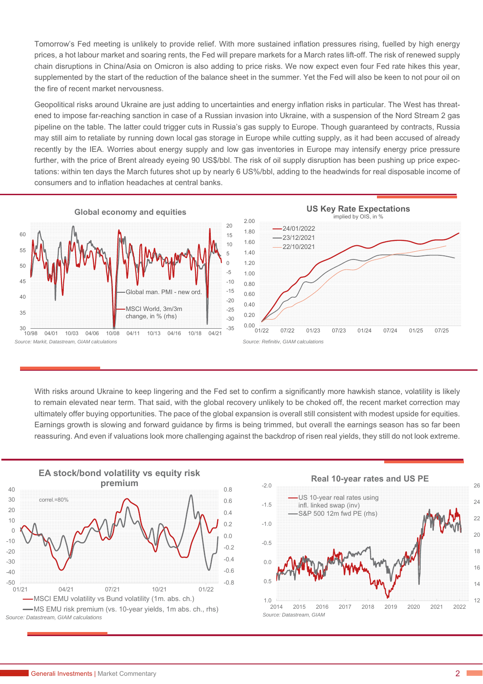Tomorrow's Fed meeting is unlikely to provide relief. With more sustained inflation pressures rising, fuelled by high energy prices, a hot labour market and soaring rents, the Fed will prepare markets for a March rates lift-off. The risk of renewed supply chain disruptions in China/Asia on Omicron is also adding to price risks. We now expect even four Fed rate hikes this year, supplemented by the start of the reduction of the balance sheet in the summer. Yet the Fed will also be keen to not pour oil on the fire of recent market nervousness.

Geopolitical risks around Ukraine are just adding to uncertainties and energy inflation risks in particular. The West has threatened to impose far-reaching sanction in case of a Russian invasion into Ukraine, with a suspension of the Nord Stream 2 gas pipeline on the table. The latter could trigger cuts in Russia's gas supply to Europe. Though guaranteed by contracts, Russia may still aim to retaliate by running down local gas storage in Europe while cutting supply, as it had been accused of already recently by the IEA. Worries about energy supply and low gas inventories in Europe may intensify energy price pressure further, with the price of Brent already eyeing 90 US\$/bbl. The risk of oil supply disruption has been pushing up price expectations: within ten days the March futures shot up by nearly 6 US%/bbl, adding to the headwinds for real disposable income of consumers and to inflation headaches at central banks.



With risks around Ukraine to keep lingering and the Fed set to confirm a significantly more hawkish stance, volatility is likely to remain elevated near term. That said, with the global recovery unlikely to be choked off, the recent market correction may ultimately offer buying opportunities. The pace of the global expansion is overall still consistent with modest upside for equities. Earnings growth is slowing and forward guidance by firms is being trimmed, but overall the earnings season has so far been reassuring. And even if valuations look more challenging against the backdrop of risen real yields, they still do not look extreme.